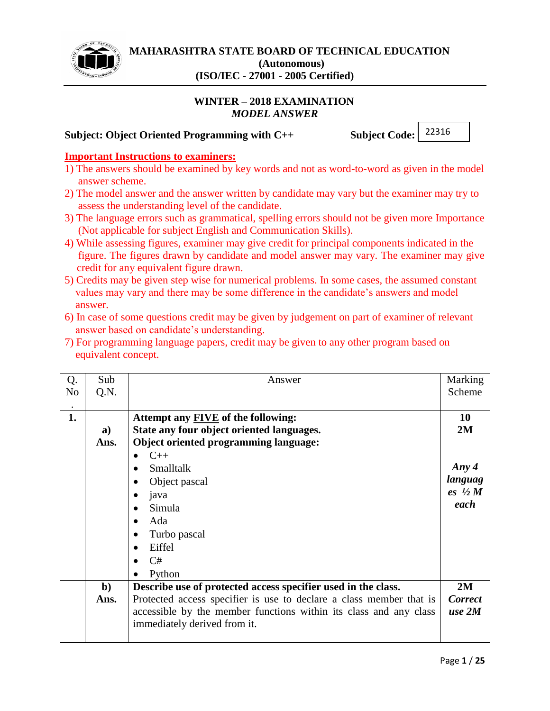

# **WINTER – 2018 EXAMINATION** *MODEL ANSWER*

# **Subject: Object Oriented Programming with C++ Subject Code:**

22316

#### **Important Instructions to examiners:**

- 1) The answers should be examined by key words and not as word-to-word as given in the model answer scheme.
- 2) The model answer and the answer written by candidate may vary but the examiner may try to assess the understanding level of the candidate.
- 3) The language errors such as grammatical, spelling errors should not be given more Importance (Not applicable for subject English and Communication Skills).
- 4) While assessing figures, examiner may give credit for principal components indicated in the figure. The figures drawn by candidate and model answer may vary. The examiner may give credit for any equivalent figure drawn.
- 5) Credits may be given step wise for numerical problems. In some cases, the assumed constant values may vary and there may be some difference in the candidate's answers and model answer.
- 6) In case of some questions credit may be given by judgement on part of examiner of relevant answer based on candidate's understanding.
- 7) For programming language papers, credit may be given to any other program based on equivalent concept.

| Q.             | Sub          | Answer                                                              | Marking           |
|----------------|--------------|---------------------------------------------------------------------|-------------------|
| N <sub>o</sub> | Q.N.         |                                                                     | Scheme            |
|                |              |                                                                     |                   |
| 1.             |              | Attempt any <b>FIVE</b> of the following:                           | 10                |
|                | a)           | State any four object oriented languages.                           | 2M                |
|                | Ans.         | <b>Object oriented programming language:</b>                        |                   |
|                |              | $C++$<br>$\bullet$                                                  |                   |
|                |              | <b>Smalltalk</b>                                                    | Any $4$           |
|                |              | Object pascal<br>$\bullet$                                          | languag           |
|                |              | java                                                                | es $\frac{1}{2}M$ |
|                |              | Simula                                                              | each              |
|                |              | Ada<br>$\bullet$                                                    |                   |
|                |              | Turbo pascal                                                        |                   |
|                |              | Eiffel                                                              |                   |
|                |              | C#                                                                  |                   |
|                |              | Python                                                              |                   |
|                | $\mathbf{b}$ | Describe use of protected access specifier used in the class.       | 2M                |
|                |              |                                                                     |                   |
|                | Ans.         | Protected access specifier is use to declare a class member that is | <b>Correct</b>    |
|                |              | accessible by the member functions within its class and any class   | use 2M            |
|                |              | immediately derived from it.                                        |                   |
|                |              |                                                                     |                   |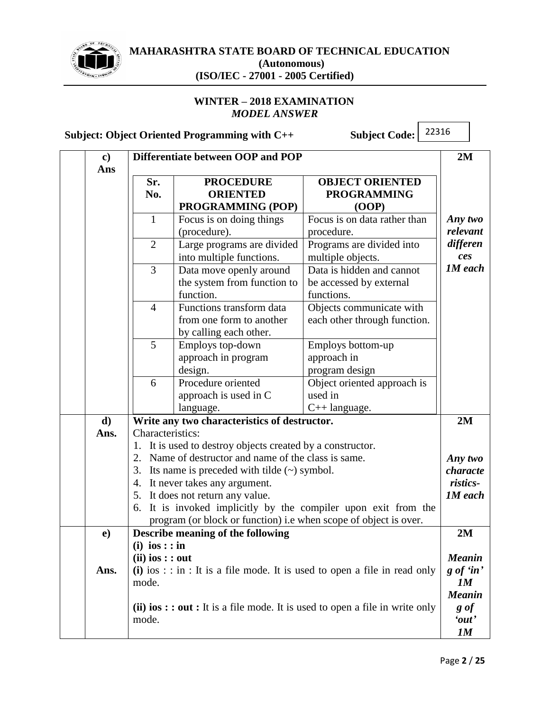

# **MAHARASHTRA STATE BOARD OF TECHNICAL EDUCATION (Autonomous)**

# **(ISO/IEC - 27001 - 2005 Certified)**

# **WINTER – 2018 EXAMINATION** *MODEL ANSWER*

**Subject: Object Oriented Programming with C++ Subject Code:**

| $\bf c)$<br>Ans |                    | Differentiate between OOP and POP                                              |                                                                                                   | 2M                  |
|-----------------|--------------------|--------------------------------------------------------------------------------|---------------------------------------------------------------------------------------------------|---------------------|
|                 | Sr.                | <b>PROCEDURE</b>                                                               | <b>OBJECT ORIENTED</b>                                                                            |                     |
|                 | No.                | <b>ORIENTED</b>                                                                | <b>PROGRAMMING</b>                                                                                |                     |
|                 |                    | PROGRAMMING (POP)                                                              | (OOP)                                                                                             |                     |
|                 | $\mathbf{1}$       | Focus is on doing things                                                       | Focus is on data rather than                                                                      | Any two             |
|                 |                    | (procedure).                                                                   | procedure.                                                                                        | relevant            |
|                 | $\overline{2}$     | Large programs are divided<br>into multiple functions.                         | Programs are divided into<br>multiple objects.                                                    | differen<br>ces     |
|                 | 3                  | Data move openly around<br>the system from function to                         | Data is hidden and cannot<br>be accessed by external                                              | <b>1M</b> each      |
|                 |                    | function.                                                                      | functions.                                                                                        |                     |
|                 | $\overline{4}$     | Functions transform data<br>from one form to another<br>by calling each other. | Objects communicate with<br>each other through function.                                          |                     |
|                 | 5                  | Employs top-down                                                               | Employs bottom-up                                                                                 |                     |
|                 |                    | approach in program                                                            | approach in                                                                                       |                     |
|                 |                    | design.                                                                        | program design                                                                                    |                     |
|                 | 6                  | Procedure oriented                                                             | Object oriented approach is                                                                       |                     |
|                 |                    | approach is used in C                                                          | used in                                                                                           |                     |
|                 |                    | language.                                                                      | C++ language.                                                                                     |                     |
| $\mathbf{d}$    |                    | Write any two characteristics of destructor.                                   |                                                                                                   | 2M                  |
| Ans.            | Characteristics:   |                                                                                |                                                                                                   |                     |
|                 |                    | 1. It is used to destroy objects created by a constructor.                     |                                                                                                   |                     |
|                 |                    | 2. Name of destructor and name of the class is same.                           |                                                                                                   | Any two             |
|                 | 3.                 | Its name is preceded with tilde $(\sim)$ symbol.                               |                                                                                                   | characte            |
|                 |                    | 4. It never takes any argument.                                                |                                                                                                   | ristics-            |
|                 |                    | 5. It does not return any value.                                               |                                                                                                   | <b>1M</b> each      |
|                 |                    |                                                                                | 6. It is invoked implicitly by the compiler upon exit from the                                    |                     |
|                 |                    | program (or block or function) i.e when scope of object is over.               |                                                                                                   |                     |
| $\bf e)$        |                    | Describe meaning of the following                                              |                                                                                                   | 2M                  |
|                 | $(i)$ ios : : in   |                                                                                |                                                                                                   |                     |
|                 | $(ii)$ ios : : out |                                                                                |                                                                                                   | <b>Meanin</b>       |
| Ans.            |                    |                                                                                | (i) ios : : in : It is a file mode. It is used to open a file in read only                        | $g \text{ of 'in'}$ |
|                 | mode.              |                                                                                |                                                                                                   | 1M                  |
|                 |                    |                                                                                |                                                                                                   | <b>Meanin</b>       |
|                 | mode.              |                                                                                | (ii) $\mathbf{ios}$ : $\mathbf{out}$ : It is a file mode. It is used to open a file in write only | g of<br>'out'       |
|                 |                    |                                                                                |                                                                                                   | $\bm{I} \bm{M}$     |
|                 |                    |                                                                                |                                                                                                   |                     |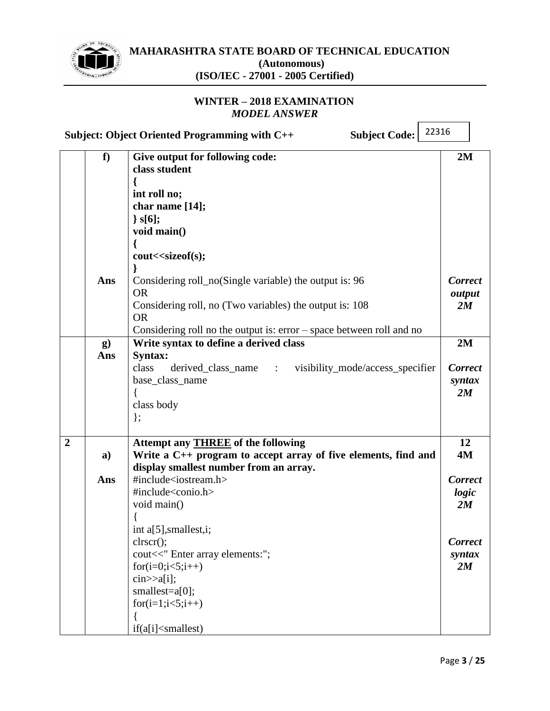

# **WINTER – 2018 EXAMINATION** *MODEL ANSWER*

|                |                 | 22316<br>Subject: Object Oriented Programming with C++<br><b>Subject Code:</b>                                                                                                                                                                                                                                                                                                                                                                                                    |                                                                 |
|----------------|-----------------|-----------------------------------------------------------------------------------------------------------------------------------------------------------------------------------------------------------------------------------------------------------------------------------------------------------------------------------------------------------------------------------------------------------------------------------------------------------------------------------|-----------------------------------------------------------------|
|                | f               | Give output for following code:<br>class student<br>int roll no;<br>char name [14];<br>$\}$ s[6];<br>void main()<br>cout< <sizeof(s);< th=""><th>2M</th></sizeof(s);<>                                                                                                                                                                                                                                                                                                            | 2M                                                              |
|                | Ans             | Considering roll_no(Single variable) the output is: 96<br><b>OR</b><br>Considering roll, no (Two variables) the output is: 108<br><b>OR</b><br>Considering roll no the output is: $error - space$ between roll and no                                                                                                                                                                                                                                                             | <b>Correct</b><br>output<br>2M                                  |
|                | $\bf{g}$<br>Ans | Write syntax to define a derived class<br>Syntax:<br>class<br>derived_class_name :<br>visibility_mode/access_specifier<br>base_class_name<br>class body<br>$\}$ ;                                                                                                                                                                                                                                                                                                                 | 2M<br><b>Correct</b><br>syntax<br>2M                            |
| $\overline{2}$ | a)              | Attempt any <b>THREE</b> of the following<br>Write a C++ program to accept array of five elements, find and<br>display smallest number from an array.                                                                                                                                                                                                                                                                                                                             | 12<br>4M                                                        |
|                | Ans             | #include <iostream.h><br/>#include<conio.h><br/>void main()<br/>int a[5], smallest, i;<br/><math>\text{clrscr}</math><math>\text{c}</math>:<br/>cout&lt;&lt;" Enter array elements:";<br/><math>for(i=0;i&lt;5;i++)</math><br/><math>\text{cin} \geq \text{a[i]}</math>;<br/>smallest=a[0];<br/><math>for(i=1; i&lt;5; i++)</math><br/>if(a[i]<smallest)< th=""><th><b>Correct</b><br/>logic<br/>2M<br/><b>Correct</b><br/>syntax<br/>2M</th></smallest)<></conio.h></iostream.h> | <b>Correct</b><br>logic<br>2M<br><b>Correct</b><br>syntax<br>2M |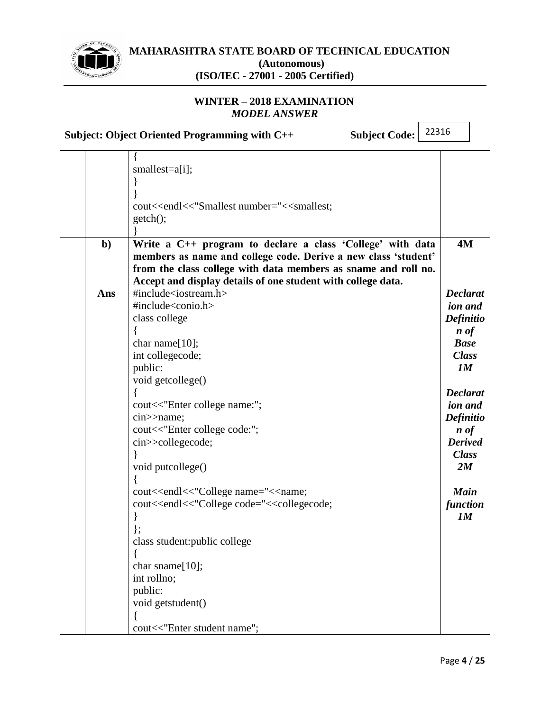

# **WINTER – 2018 EXAMINATION** *MODEL ANSWER*

**Subject: Object Oriented Programming with C++ Subject Code:**

|  | smallest=a[i];                                                                                                                                                                                                                                                                                                                                                                                                                                                                                                                                                                                                                                                                                                                                                                                                                                                                                                                                                                                                                                                                                                                                                                                                                                                                                                                                                                                                                                                                                                                                                                                                                                                                                                                                                                                                                                                                                                                                                                                                                                                                                                                                      |                     |
|--|-----------------------------------------------------------------------------------------------------------------------------------------------------------------------------------------------------------------------------------------------------------------------------------------------------------------------------------------------------------------------------------------------------------------------------------------------------------------------------------------------------------------------------------------------------------------------------------------------------------------------------------------------------------------------------------------------------------------------------------------------------------------------------------------------------------------------------------------------------------------------------------------------------------------------------------------------------------------------------------------------------------------------------------------------------------------------------------------------------------------------------------------------------------------------------------------------------------------------------------------------------------------------------------------------------------------------------------------------------------------------------------------------------------------------------------------------------------------------------------------------------------------------------------------------------------------------------------------------------------------------------------------------------------------------------------------------------------------------------------------------------------------------------------------------------------------------------------------------------------------------------------------------------------------------------------------------------------------------------------------------------------------------------------------------------------------------------------------------------------------------------------------------------|---------------------|
|  |                                                                                                                                                                                                                                                                                                                                                                                                                                                                                                                                                                                                                                                                                                                                                                                                                                                                                                                                                                                                                                                                                                                                                                                                                                                                                                                                                                                                                                                                                                                                                                                                                                                                                                                                                                                                                                                                                                                                                                                                                                                                                                                                                     |                     |
|  |                                                                                                                                                                                                                                                                                                                                                                                                                                                                                                                                                                                                                                                                                                                                                                                                                                                                                                                                                                                                                                                                                                                                                                                                                                                                                                                                                                                                                                                                                                                                                                                                                                                                                                                                                                                                                                                                                                                                                                                                                                                                                                                                                     |                     |
|  | cout< <endl<<"smallest college="" enter="" name:";<="" number="&lt;&lt;smallest;&lt;/th&gt;&lt;th&gt;&lt;/th&gt;&lt;/tr&gt;&lt;tr&gt;&lt;th&gt;&lt;/th&gt;&lt;th&gt;getch();&lt;/th&gt;&lt;th&gt;&lt;/th&gt;&lt;/tr&gt;&lt;tr&gt;&lt;th&gt;&lt;/th&gt;&lt;th&gt;&lt;/th&gt;&lt;th&gt;&lt;/th&gt;&lt;/tr&gt;&lt;tr&gt;&lt;th&gt;&lt;math&gt;b&lt;/math&gt;&lt;/b&gt;&lt;/th&gt;&lt;th&gt;Write a C++ program to declare a class 'College' with data&lt;/th&gt;&lt;th&gt;4M&lt;/th&gt;&lt;/tr&gt;&lt;tr&gt;&lt;th&gt;&lt;/th&gt;&lt;th&gt;members as name and college code. Derive a new class 'student'&lt;/th&gt;&lt;th&gt;&lt;/th&gt;&lt;/tr&gt;&lt;tr&gt;&lt;th&gt;&lt;/th&gt;&lt;th&gt;from the class college with data members as sname and roll no.&lt;/th&gt;&lt;th&gt;&lt;/th&gt;&lt;/tr&gt;&lt;tr&gt;&lt;th&gt;&lt;/th&gt;&lt;th&gt;Accept and display details of one student with college data.&lt;/th&gt;&lt;th&gt;&lt;/th&gt;&lt;/tr&gt;&lt;tr&gt;&lt;th&gt;Ans&lt;/th&gt;&lt;th&gt;#include&lt;iostream.h&gt;&lt;/th&gt;&lt;th&gt;&lt;b&gt;Declarat&lt;/b&gt;&lt;/th&gt;&lt;/tr&gt;&lt;tr&gt;&lt;th&gt;&lt;/th&gt;&lt;th&gt;#include&lt;conio.h&gt;&lt;/th&gt;&lt;th&gt;ion and&lt;/th&gt;&lt;/tr&gt;&lt;tr&gt;&lt;th&gt;&lt;/th&gt;&lt;th&gt;class college&lt;/th&gt;&lt;th&gt;&lt;b&gt;Definitio&lt;/b&gt;&lt;/th&gt;&lt;/tr&gt;&lt;tr&gt;&lt;th&gt;&lt;/th&gt;&lt;th&gt;&lt;/th&gt;&lt;th&gt;&lt;math&gt;\boldsymbol{n}&lt;/math&gt; of&lt;/th&gt;&lt;/tr&gt;&lt;tr&gt;&lt;th&gt;&lt;/th&gt;&lt;th&gt;char name[10];&lt;/th&gt;&lt;th&gt;&lt;b&gt;Base&lt;/b&gt;&lt;/th&gt;&lt;/tr&gt;&lt;tr&gt;&lt;th&gt;&lt;/th&gt;&lt;th&gt;int collegecode;&lt;/th&gt;&lt;th&gt;&lt;b&gt;Class&lt;/b&gt;&lt;/th&gt;&lt;/tr&gt;&lt;tr&gt;&lt;th&gt;&lt;/th&gt;&lt;th&gt;public:&lt;/th&gt;&lt;th&gt;1M&lt;/th&gt;&lt;/tr&gt;&lt;tr&gt;&lt;th&gt;&lt;/th&gt;&lt;th&gt;void getcollege()&lt;/th&gt;&lt;th&gt;&lt;/th&gt;&lt;/tr&gt;&lt;tr&gt;&lt;th&gt;&lt;/th&gt;&lt;th&gt;&lt;/th&gt;&lt;th&gt;&lt;b&gt;Declarat&lt;/b&gt;&lt;/th&gt;&lt;/tr&gt;&lt;tr&gt;&lt;th&gt;&lt;/th&gt;&lt;th&gt;cout &lt;&lt; " th=""><th>ion and</th></endl<<"smallest> | ion and             |
|  | cin>>name;                                                                                                                                                                                                                                                                                                                                                                                                                                                                                                                                                                                                                                                                                                                                                                                                                                                                                                                                                                                                                                                                                                                                                                                                                                                                                                                                                                                                                                                                                                                                                                                                                                                                                                                                                                                                                                                                                                                                                                                                                                                                                                                                          | Definitio           |
|  | cout<<"Enter college code:";                                                                                                                                                                                                                                                                                                                                                                                                                                                                                                                                                                                                                                                                                                                                                                                                                                                                                                                                                                                                                                                                                                                                                                                                                                                                                                                                                                                                                                                                                                                                                                                                                                                                                                                                                                                                                                                                                                                                                                                                                                                                                                                        | $\boldsymbol{n}$ of |
|  | cin>>collegecode;                                                                                                                                                                                                                                                                                                                                                                                                                                                                                                                                                                                                                                                                                                                                                                                                                                                                                                                                                                                                                                                                                                                                                                                                                                                                                                                                                                                                                                                                                                                                                                                                                                                                                                                                                                                                                                                                                                                                                                                                                                                                                                                                   | <b>Derived</b>      |
|  |                                                                                                                                                                                                                                                                                                                                                                                                                                                                                                                                                                                                                                                                                                                                                                                                                                                                                                                                                                                                                                                                                                                                                                                                                                                                                                                                                                                                                                                                                                                                                                                                                                                                                                                                                                                                                                                                                                                                                                                                                                                                                                                                                     | <b>Class</b>        |
|  | void putcollege()                                                                                                                                                                                                                                                                                                                                                                                                                                                                                                                                                                                                                                                                                                                                                                                                                                                                                                                                                                                                                                                                                                                                                                                                                                                                                                                                                                                                                                                                                                                                                                                                                                                                                                                                                                                                                                                                                                                                                                                                                                                                                                                                   | 2M                  |
|  |                                                                                                                                                                                                                                                                                                                                                                                                                                                                                                                                                                                                                                                                                                                                                                                                                                                                                                                                                                                                                                                                                                                                                                                                                                                                                                                                                                                                                                                                                                                                                                                                                                                                                                                                                                                                                                                                                                                                                                                                                                                                                                                                                     |                     |
|  | cout< <endl<<"college code="&lt;&lt;collegecode;&lt;/th&gt;&lt;th&gt;function&lt;/th&gt;&lt;/tr&gt;&lt;tr&gt;&lt;th&gt;&lt;/th&gt;&lt;th&gt;&lt;/th&gt;&lt;th&gt;1M&lt;/th&gt;&lt;/tr&gt;&lt;tr&gt;&lt;th&gt;&lt;/th&gt;&lt;th&gt;&lt;/th&gt;&lt;th&gt;&lt;/th&gt;&lt;/tr&gt;&lt;tr&gt;&lt;th&gt;&lt;/th&gt;&lt;th&gt;class student: public college&lt;/th&gt;&lt;th&gt;&lt;/th&gt;&lt;/tr&gt;&lt;tr&gt;&lt;th&gt;&lt;/th&gt;&lt;th&gt;&lt;/th&gt;&lt;th&gt;&lt;/th&gt;&lt;/tr&gt;&lt;tr&gt;&lt;th&gt;&lt;/th&gt;&lt;th&gt;char sname[10];&lt;/th&gt;&lt;th&gt;&lt;/th&gt;&lt;/tr&gt;&lt;tr&gt;&lt;th&gt;&lt;/th&gt;&lt;th&gt;int rollno;&lt;/th&gt;&lt;th&gt;&lt;/th&gt;&lt;/tr&gt;&lt;tr&gt;&lt;th&gt;&lt;/th&gt;&lt;th&gt;public:&lt;/th&gt;&lt;th&gt;&lt;/th&gt;&lt;/tr&gt;&lt;tr&gt;&lt;th&gt;&lt;/th&gt;&lt;th&gt;void getstudent()&lt;/th&gt;&lt;th&gt;&lt;/th&gt;&lt;/tr&gt;&lt;tr&gt;&lt;th&gt;&lt;/th&gt;&lt;th&gt;&lt;/th&gt;&lt;th&gt;&lt;/th&gt;&lt;/tr&gt;&lt;tr&gt;&lt;th&gt;&lt;/th&gt;&lt;th&gt;cout&lt;&lt;" college="" enter="" name="&lt;&lt;name;&lt;/th&gt;&lt;th&gt;&lt;b&gt;Main&lt;/b&gt;&lt;/th&gt;&lt;/tr&gt;&lt;tr&gt;&lt;th&gt;&lt;/th&gt;&lt;th&gt;cout&lt;&lt;endl&lt;&lt;" name";<="" student="" th=""><th></th></endl<<"college>                                                                                                                                                                                                                                                                                                                                                                                                                                                                                                                                                                                                                                                                                                                                                                                                                                                                                   |                     |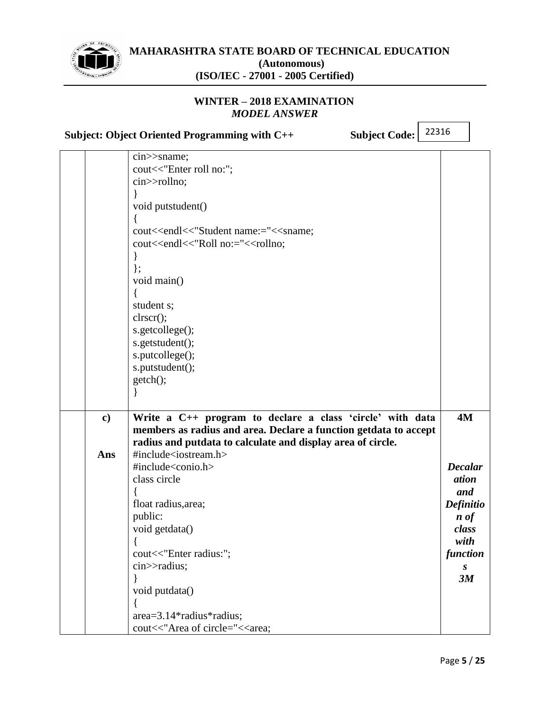

# **WINTER – 2018 EXAMINATION** *MODEL ANSWER*

**Subject: Object Oriented Programming with C++ Subject Code:**

|  | $cin \gg same;$                                                                                                                                                                                                                                                                                                                                                                                                                                                                                                                                                                                                                                                                                                                                                                                                                                                                                                                                                                                                                                                                                                                                                                                                                                                                                                                                                                                                                                                                                                                                                                                                                                                                                                                                                                                                                                                                                                                                                                                                                                                                                                                                                                                                                                                                                                                                                                                                                                                                                                                                                                                                                                                                                                                                                                                                                                                                                                                                                                                                                          |          |
|--|------------------------------------------------------------------------------------------------------------------------------------------------------------------------------------------------------------------------------------------------------------------------------------------------------------------------------------------------------------------------------------------------------------------------------------------------------------------------------------------------------------------------------------------------------------------------------------------------------------------------------------------------------------------------------------------------------------------------------------------------------------------------------------------------------------------------------------------------------------------------------------------------------------------------------------------------------------------------------------------------------------------------------------------------------------------------------------------------------------------------------------------------------------------------------------------------------------------------------------------------------------------------------------------------------------------------------------------------------------------------------------------------------------------------------------------------------------------------------------------------------------------------------------------------------------------------------------------------------------------------------------------------------------------------------------------------------------------------------------------------------------------------------------------------------------------------------------------------------------------------------------------------------------------------------------------------------------------------------------------------------------------------------------------------------------------------------------------------------------------------------------------------------------------------------------------------------------------------------------------------------------------------------------------------------------------------------------------------------------------------------------------------------------------------------------------------------------------------------------------------------------------------------------------------------------------------------------------------------------------------------------------------------------------------------------------------------------------------------------------------------------------------------------------------------------------------------------------------------------------------------------------------------------------------------------------------------------------------------------------------------------------------------------------|----------|
|  | cout<<"Enter roll no:";                                                                                                                                                                                                                                                                                                                                                                                                                                                                                                                                                                                                                                                                                                                                                                                                                                                                                                                                                                                                                                                                                                                                                                                                                                                                                                                                                                                                                                                                                                                                                                                                                                                                                                                                                                                                                                                                                                                                                                                                                                                                                                                                                                                                                                                                                                                                                                                                                                                                                                                                                                                                                                                                                                                                                                                                                                                                                                                                                                                                                  |          |
|  | cin>>rollno;                                                                                                                                                                                                                                                                                                                                                                                                                                                                                                                                                                                                                                                                                                                                                                                                                                                                                                                                                                                                                                                                                                                                                                                                                                                                                                                                                                                                                                                                                                                                                                                                                                                                                                                                                                                                                                                                                                                                                                                                                                                                                                                                                                                                                                                                                                                                                                                                                                                                                                                                                                                                                                                                                                                                                                                                                                                                                                                                                                                                                             |          |
|  |                                                                                                                                                                                                                                                                                                                                                                                                                                                                                                                                                                                                                                                                                                                                                                                                                                                                                                                                                                                                                                                                                                                                                                                                                                                                                                                                                                                                                                                                                                                                                                                                                                                                                                                                                                                                                                                                                                                                                                                                                                                                                                                                                                                                                                                                                                                                                                                                                                                                                                                                                                                                                                                                                                                                                                                                                                                                                                                                                                                                                                          |          |
|  | void putstudent()                                                                                                                                                                                                                                                                                                                                                                                                                                                                                                                                                                                                                                                                                                                                                                                                                                                                                                                                                                                                                                                                                                                                                                                                                                                                                                                                                                                                                                                                                                                                                                                                                                                                                                                                                                                                                                                                                                                                                                                                                                                                                                                                                                                                                                                                                                                                                                                                                                                                                                                                                                                                                                                                                                                                                                                                                                                                                                                                                                                                                        |          |
|  |                                                                                                                                                                                                                                                                                                                                                                                                                                                                                                                                                                                                                                                                                                                                                                                                                                                                                                                                                                                                                                                                                                                                                                                                                                                                                                                                                                                                                                                                                                                                                                                                                                                                                                                                                                                                                                                                                                                                                                                                                                                                                                                                                                                                                                                                                                                                                                                                                                                                                                                                                                                                                                                                                                                                                                                                                                                                                                                                                                                                                                          |          |
|  | cout< <endl<<"student enter="" name:="&lt;&lt;sname;&lt;/th&gt;&lt;th&gt;&lt;/th&gt;&lt;/tr&gt;&lt;tr&gt;&lt;th&gt;&lt;/th&gt;&lt;th&gt;cout&lt;&lt;endl&lt;&lt;" no:="&lt;&lt;rollno;&lt;/th&gt;&lt;th&gt;&lt;/th&gt;&lt;/tr&gt;&lt;tr&gt;&lt;th&gt;&lt;/th&gt;&lt;th&gt;&lt;/th&gt;&lt;th&gt;&lt;/th&gt;&lt;/tr&gt;&lt;tr&gt;&lt;th&gt;&lt;/th&gt;&lt;th&gt;&lt;math&gt;\}&lt;/math&gt;;&lt;/th&gt;&lt;th&gt;&lt;/th&gt;&lt;/tr&gt;&lt;tr&gt;&lt;th&gt;&lt;/th&gt;&lt;th&gt;void main()&lt;/th&gt;&lt;th&gt;&lt;/th&gt;&lt;/tr&gt;&lt;tr&gt;&lt;th&gt;&lt;/th&gt;&lt;th&gt;&lt;/th&gt;&lt;th&gt;&lt;/th&gt;&lt;/tr&gt;&lt;tr&gt;&lt;th&gt;&lt;/th&gt;&lt;th&gt;student s;&lt;/th&gt;&lt;th&gt;&lt;/th&gt;&lt;/tr&gt;&lt;tr&gt;&lt;th&gt;&lt;/th&gt;&lt;th&gt;clrscr();&lt;/th&gt;&lt;th&gt;&lt;/th&gt;&lt;/tr&gt;&lt;tr&gt;&lt;th&gt;&lt;/th&gt;&lt;th&gt;s.getcollege();&lt;/th&gt;&lt;th&gt;&lt;/th&gt;&lt;/tr&gt;&lt;tr&gt;&lt;th&gt;&lt;/th&gt;&lt;th&gt;s.getstudent();&lt;/th&gt;&lt;th&gt;&lt;/th&gt;&lt;/tr&gt;&lt;tr&gt;&lt;th&gt;&lt;/th&gt;&lt;th&gt;s.putcollege();&lt;/th&gt;&lt;th&gt;&lt;/th&gt;&lt;/tr&gt;&lt;tr&gt;&lt;th&gt;&lt;/th&gt;&lt;th&gt;s.putstudent();&lt;/th&gt;&lt;th&gt;&lt;/th&gt;&lt;/tr&gt;&lt;tr&gt;&lt;th&gt;&lt;/th&gt;&lt;th&gt;getch();&lt;/th&gt;&lt;th&gt;&lt;/th&gt;&lt;/tr&gt;&lt;tr&gt;&lt;th&gt;&lt;/th&gt;&lt;th&gt;&lt;/th&gt;&lt;th&gt;&lt;/th&gt;&lt;/tr&gt;&lt;tr&gt;&lt;th&gt;&lt;/th&gt;&lt;th&gt;&lt;/th&gt;&lt;th&gt;&lt;/th&gt;&lt;/tr&gt;&lt;tr&gt;&lt;th&gt;&lt;math&gt;\mathbf{c})&lt;/math&gt;&lt;/th&gt;&lt;th&gt;Write a C++ program to declare a class 'circle' with data&lt;/th&gt;&lt;th&gt;4M&lt;/th&gt;&lt;/tr&gt;&lt;tr&gt;&lt;th&gt;&lt;/th&gt;&lt;th&gt;members as radius and area. Declare a function getdata to accept&lt;/th&gt;&lt;th&gt;&lt;/th&gt;&lt;/tr&gt;&lt;tr&gt;&lt;th&gt;&lt;/th&gt;&lt;th&gt;radius and putdata to calculate and display area of circle.&lt;/th&gt;&lt;th&gt;&lt;/th&gt;&lt;/tr&gt;&lt;tr&gt;&lt;th&gt;Ans&lt;/th&gt;&lt;th&gt;#include&lt;iostream.h&gt;&lt;/th&gt;&lt;th&gt;&lt;/th&gt;&lt;/tr&gt;&lt;tr&gt;&lt;th&gt;&lt;/th&gt;&lt;th&gt;#include&lt;conio.h&gt;&lt;/th&gt;&lt;th&gt;&lt;b&gt;Decalar&lt;/b&gt;&lt;/th&gt;&lt;/tr&gt;&lt;tr&gt;&lt;th&gt;&lt;/th&gt;&lt;th&gt;class circle&lt;/th&gt;&lt;th&gt;ation&lt;/th&gt;&lt;/tr&gt;&lt;tr&gt;&lt;th&gt;&lt;/th&gt;&lt;th&gt;&lt;/th&gt;&lt;th&gt;and&lt;/th&gt;&lt;/tr&gt;&lt;tr&gt;&lt;th&gt;&lt;/th&gt;&lt;th&gt;float radius, area;&lt;/th&gt;&lt;th&gt;&lt;b&gt;Definitio&lt;/b&gt;&lt;/th&gt;&lt;/tr&gt;&lt;tr&gt;&lt;th&gt;&lt;/th&gt;&lt;th&gt;public:&lt;/th&gt;&lt;th&gt;&lt;math&gt;\boldsymbol{n}&lt;/math&gt; of&lt;/th&gt;&lt;/tr&gt;&lt;tr&gt;&lt;th&gt;&lt;/th&gt;&lt;th&gt;void getdata()&lt;/th&gt;&lt;th&gt;class&lt;/th&gt;&lt;/tr&gt;&lt;tr&gt;&lt;th&gt;&lt;/th&gt;&lt;th&gt;∤&lt;/th&gt;&lt;th&gt;with&lt;/th&gt;&lt;/tr&gt;&lt;tr&gt;&lt;th&gt;&lt;/th&gt;&lt;th&gt;cout&lt;&lt;" radius:";<="" roll="" th=""><th>function</th></endl<<"student> | function |
|  | $cin$ > radius;                                                                                                                                                                                                                                                                                                                                                                                                                                                                                                                                                                                                                                                                                                                                                                                                                                                                                                                                                                                                                                                                                                                                                                                                                                                                                                                                                                                                                                                                                                                                                                                                                                                                                                                                                                                                                                                                                                                                                                                                                                                                                                                                                                                                                                                                                                                                                                                                                                                                                                                                                                                                                                                                                                                                                                                                                                                                                                                                                                                                                          | S        |
|  | ∤                                                                                                                                                                                                                                                                                                                                                                                                                                                                                                                                                                                                                                                                                                                                                                                                                                                                                                                                                                                                                                                                                                                                                                                                                                                                                                                                                                                                                                                                                                                                                                                                                                                                                                                                                                                                                                                                                                                                                                                                                                                                                                                                                                                                                                                                                                                                                                                                                                                                                                                                                                                                                                                                                                                                                                                                                                                                                                                                                                                                                                        | 3M       |
|  | void putdata()                                                                                                                                                                                                                                                                                                                                                                                                                                                                                                                                                                                                                                                                                                                                                                                                                                                                                                                                                                                                                                                                                                                                                                                                                                                                                                                                                                                                                                                                                                                                                                                                                                                                                                                                                                                                                                                                                                                                                                                                                                                                                                                                                                                                                                                                                                                                                                                                                                                                                                                                                                                                                                                                                                                                                                                                                                                                                                                                                                                                                           |          |
|  |                                                                                                                                                                                                                                                                                                                                                                                                                                                                                                                                                                                                                                                                                                                                                                                                                                                                                                                                                                                                                                                                                                                                                                                                                                                                                                                                                                                                                                                                                                                                                                                                                                                                                                                                                                                                                                                                                                                                                                                                                                                                                                                                                                                                                                                                                                                                                                                                                                                                                                                                                                                                                                                                                                                                                                                                                                                                                                                                                                                                                                          |          |
|  | $area = 3.14*radius*radius;$                                                                                                                                                                                                                                                                                                                                                                                                                                                                                                                                                                                                                                                                                                                                                                                                                                                                                                                                                                                                                                                                                                                                                                                                                                                                                                                                                                                                                                                                                                                                                                                                                                                                                                                                                                                                                                                                                                                                                                                                                                                                                                                                                                                                                                                                                                                                                                                                                                                                                                                                                                                                                                                                                                                                                                                                                                                                                                                                                                                                             |          |
|  | cout<<"Area of circle="< <area;< th=""><th></th></area;<>                                                                                                                                                                                                                                                                                                                                                                                                                                                                                                                                                                                                                                                                                                                                                                                                                                                                                                                                                                                                                                                                                                                                                                                                                                                                                                                                                                                                                                                                                                                                                                                                                                                                                                                                                                                                                                                                                                                                                                                                                                                                                                                                                                                                                                                                                                                                                                                                                                                                                                                                                                                                                                                                                                                                                                                                                                                                                                                                                                                |          |
|  |                                                                                                                                                                                                                                                                                                                                                                                                                                                                                                                                                                                                                                                                                                                                                                                                                                                                                                                                                                                                                                                                                                                                                                                                                                                                                                                                                                                                                                                                                                                                                                                                                                                                                                                                                                                                                                                                                                                                                                                                                                                                                                                                                                                                                                                                                                                                                                                                                                                                                                                                                                                                                                                                                                                                                                                                                                                                                                                                                                                                                                          |          |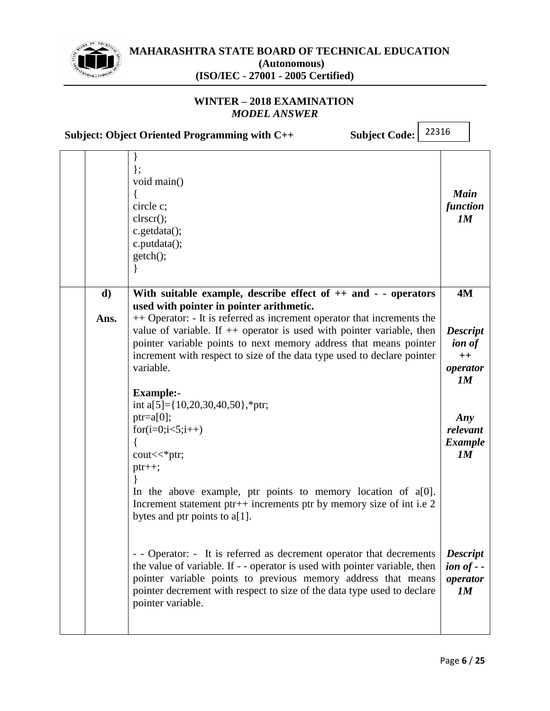

# **WINTER – 2018 EXAMINATION** *MODEL ANSWER*

**Subject: Object Oriented Programming with C++ Subject Code:**

|            | };<br>void main()<br>circle c;<br>clrscr();<br>c.getdata();<br>c.putdata();<br>getch();                                                                                                                                                                                                                                                                                                                                           | <b>Main</b><br>function<br>1M                                           |
|------------|-----------------------------------------------------------------------------------------------------------------------------------------------------------------------------------------------------------------------------------------------------------------------------------------------------------------------------------------------------------------------------------------------------------------------------------|-------------------------------------------------------------------------|
| d)<br>Ans. | With suitable example, describe effect of $++$ and $-$ - operators<br>used with pointer in pointer arithmetic.<br>++ Operator: - It is referred as increment operator that increments the<br>value of variable. If $++$ operator is used with pointer variable, then<br>pointer variable points to next memory address that means pointer<br>increment with respect to size of the data type used to declare pointer<br>variable. | <b>4M</b><br><b>Descript</b><br><i>ion of</i><br>$++$<br>operator<br>1M |
|            | <b>Example:-</b><br>int a[5]={10,20,30,40,50},*ptr;<br>$ptr=a[0];$<br>$for(i=0;i<5;i++)$<br>$\text{cout} \ll^* \text{ptr}$ ;<br>$ptr++;$<br>In the above example, ptr points to memory location of a[0].<br>Increment statement ptr++ increments ptr by memory size of int i.e 2<br>bytes and ptr points to a[1].                                                                                                                 | Any<br>relevant<br><b>Example</b><br>1M                                 |
|            | - - Operator: - It is referred as decrement operator that decrements<br>the value of variable. If - - operator is used with pointer variable, then<br>pointer variable points to previous memory address that means<br>pointer decrement with respect to size of the data type used to declare<br>pointer variable.                                                                                                               | <b>Descript</b><br>$\omega$ <i>ion of - -</i><br>operator<br>1M         |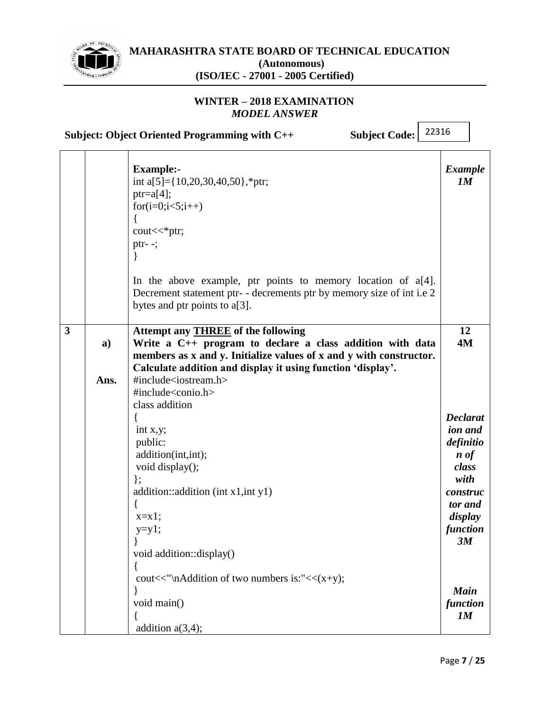

 $\mathsf{r}$ 

**MAHARASHTRA STATE BOARD OF TECHNICAL EDUCATION (Autonomous) (ISO/IEC - 27001 - 2005 Certified)**

#### **WINTER – 2018 EXAMINATION** *MODEL ANSWER*

**Subject: Object Oriented Programming with C++ Subject Code:**

|              |                      | <b>Example:-</b><br>int a[5]={10,20,30,40,50},*ptr;<br>$ptr=a[4];$<br>$for(i=0;i<5;i++)$<br>₹<br>$\text{cout} \ll^* \text{ptr}$ ;<br>ptr- $-$ ;<br>In the above example, ptr points to memory location of $a[4]$ .<br>Decrement statement ptr- - decrements ptr by memory size of int i.e 2<br>bytes and ptr points to a[3]. | <b>Example</b><br>1M                                                                                                                |
|--------------|----------------------|------------------------------------------------------------------------------------------------------------------------------------------------------------------------------------------------------------------------------------------------------------------------------------------------------------------------------|-------------------------------------------------------------------------------------------------------------------------------------|
| $\mathbf{3}$ | $\mathbf{a}$<br>Ans. | Attempt any <b>THREE</b> of the following<br>Write a C++ program to declare a class addition with data<br>members as x and y. Initialize values of x and y with constructor.<br>Calculate addition and display it using function 'display'.<br>#include <iostream.h><br/>#include<conio.h></conio.h></iostream.h>            | 12<br>4M                                                                                                                            |
|              |                      | class addition<br>int x,y;<br>public:<br>addition(int,int);<br>void display();<br>$\}$ ;<br>addition::addition (int x1,int y1)<br>$x=x1;$<br>$y=y1;$<br>void addition::display()                                                                                                                                             | <b>Declarat</b><br>ion and<br>definitio<br>$\boldsymbol{n}$ of<br>class<br>with<br>construc<br>tor and<br>display<br>function<br>3M |
|              |                      | cout << "\nAddition of two numbers is:" < $\langle x+y \rangle$ ;<br>void main()<br>addition $a(3,4)$ ;                                                                                                                                                                                                                      | <b>Main</b><br>function<br>1M                                                                                                       |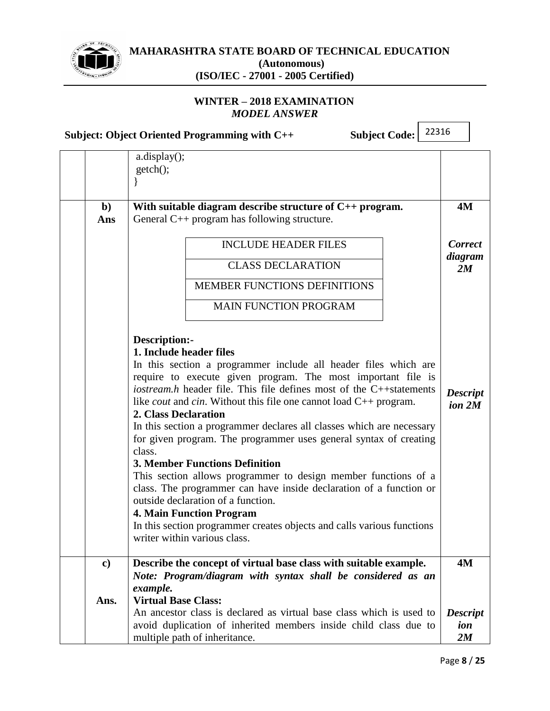

# **MAHARASHTRA STATE BOARD OF TECHNICAL EDUCATION (Autonomous)**

**(ISO/IEC - 27001 - 2005 Certified)**

# **WINTER – 2018 EXAMINATION** *MODEL ANSWER*

|                     | 22316<br><b>Subject Code:</b><br>Subject: Object Oriented Programming with C++                                                                               |                                      |
|---------------------|--------------------------------------------------------------------------------------------------------------------------------------------------------------|--------------------------------------|
|                     | a.display();<br>getch();                                                                                                                                     |                                      |
| $\mathbf{b}$<br>Ans | With suitable diagram describe structure of $C_{++}$ program.<br>General $C_{++}$ program has following structure.                                           | <b>4M</b>                            |
|                     | <b>INCLUDE HEADER FILES</b>                                                                                                                                  | <b>Correct</b>                       |
|                     | <b>CLASS DECLARATION</b>                                                                                                                                     | diagram<br>2M                        |
|                     | MEMBER FUNCTIONS DEFINITIONS                                                                                                                                 |                                      |
|                     | <b>MAIN FUNCTION PROGRAM</b>                                                                                                                                 |                                      |
|                     | Description:-                                                                                                                                                |                                      |
|                     | 1. Include header files<br>In this section a programmer include all header files which are                                                                   |                                      |
|                     | require to execute given program. The most important file is                                                                                                 |                                      |
|                     | iostream.h header file. This file defines most of the C++statements<br>like <i>cout</i> and <i>cin</i> . Without this file one cannot load $C_{++}$ program. | <b>Descript</b><br>ion <sub>2M</sub> |
|                     | 2. Class Declaration                                                                                                                                         |                                      |
|                     | In this section a programmer declares all classes which are necessary<br>for given program. The programmer uses general syntax of creating                   |                                      |
|                     | class.                                                                                                                                                       |                                      |
|                     | <b>3. Member Functions Definition</b><br>This section allows programmer to design member functions of a                                                      |                                      |
|                     | class. The programmer can have inside declaration of a function or                                                                                           |                                      |
|                     | outside declaration of a function.                                                                                                                           |                                      |
|                     | <b>4. Main Function Program</b><br>In this section programmer creates objects and calls various functions                                                    |                                      |
|                     | writer within various class.                                                                                                                                 |                                      |
| $\mathbf{c}$        | Describe the concept of virtual base class with suitable example.                                                                                            | <b>4M</b>                            |
|                     | Note: Program/diagram with syntax shall be considered as an<br>example.                                                                                      |                                      |
| Ans.                | <b>Virtual Base Class:</b>                                                                                                                                   |                                      |
|                     | An ancestor class is declared as virtual base class which is used to                                                                                         | <b>Descript</b>                      |
|                     | avoid duplication of inherited members inside child class due to<br>multiple path of inheritance.                                                            | ion<br>2M                            |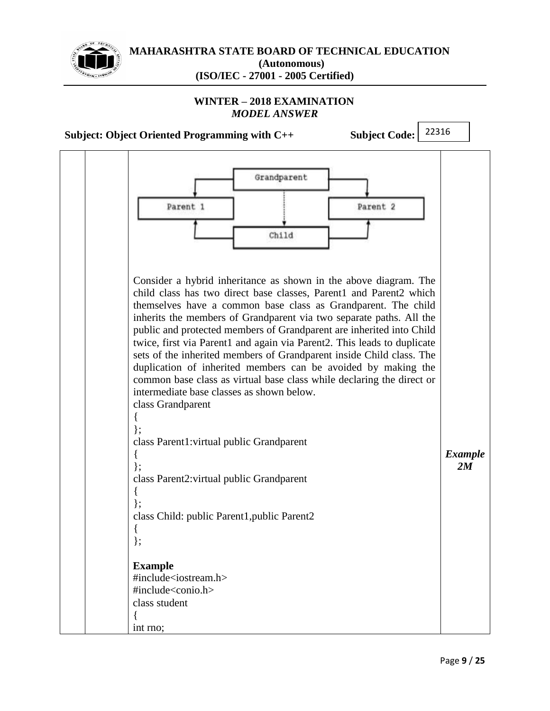

# **WINTER – 2018 EXAMINATION** *MODEL ANSWER*

**Subject: Object Oriented Programming with C++ Subject Code:**

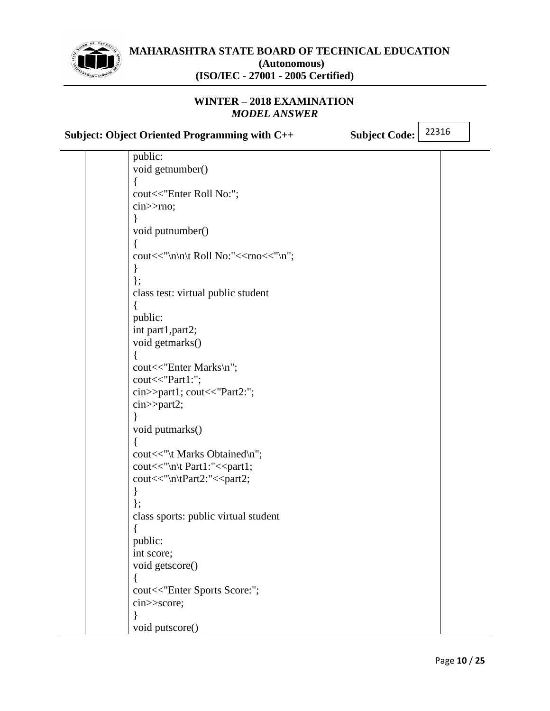

# **WINTER – 2018 EXAMINATION** *MODEL ANSWER*

**Subject: Object Oriented Programming with C++ Subject Code:**

| public:                                                             |  |
|---------------------------------------------------------------------|--|
| void getnumber()                                                    |  |
|                                                                     |  |
| cout<<"Enter Roll No:";                                             |  |
| $\text{cin} \gg \text{rno};$                                        |  |
|                                                                     |  |
| void putnumber()                                                    |  |
|                                                                     |  |
| cout<<"\n\n\t Roll No:"< <rno<<"\n";< td=""><td></td></rno<<"\n";<> |  |
|                                                                     |  |
| $\}$ ;                                                              |  |
| class test: virtual public student                                  |  |
|                                                                     |  |
| public:                                                             |  |
| int part1, part2;                                                   |  |
| void getmarks()                                                     |  |
|                                                                     |  |
| cout<<"Enter Marks\n";                                              |  |
| cout<<"Part1:";                                                     |  |
| cin>>part1; cout<<"Part2:";                                         |  |
| cin>>part2;                                                         |  |
|                                                                     |  |
| void putmarks()                                                     |  |
|                                                                     |  |
| cout<<"\t Marks Obtained\n";                                        |  |
| cout << "\n\t Part1:" << part1;                                     |  |
| cout<<"\n\tPart2:"< <part2;< td=""><td></td></part2;<>              |  |
|                                                                     |  |
|                                                                     |  |
| class sports: public virtual student                                |  |
|                                                                     |  |
| public:                                                             |  |
| int score;                                                          |  |
| void getscore()                                                     |  |
|                                                                     |  |
| cout<<"Enter Sports Score:";                                        |  |
| cin>>score;                                                         |  |
|                                                                     |  |
| void putscore()                                                     |  |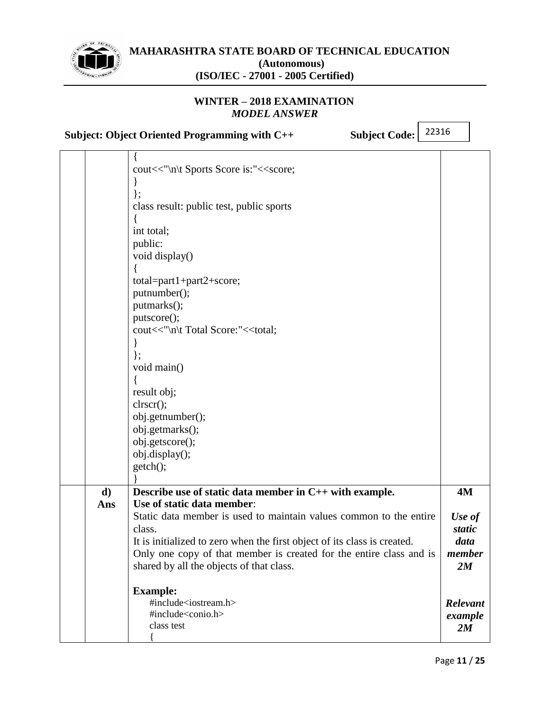

# **WINTER – 2018 EXAMINATION** *MODEL ANSWER*

|           | <b>Subject Code:</b><br>Subject: Object Oriented Programming with C++                                                                                                                                                                                                                                                                                                                                                                                                           | 22316 |                                                                                    |
|-----------|---------------------------------------------------------------------------------------------------------------------------------------------------------------------------------------------------------------------------------------------------------------------------------------------------------------------------------------------------------------------------------------------------------------------------------------------------------------------------------|-------|------------------------------------------------------------------------------------|
|           | cout<<"\n\t Sports Score is:"< <score;<br><math>\}</math>;<br/>class result: public test, public sports<br/>int total;<br/>public:<br/>void display()<br/>total=part1+part2+score;<br/>putnumber();<br/>putmarks();<br/>putscore();<br/>cout&lt;&lt;"\n\t Total Score:"&lt;<total;<br>ł<br/><math>\}</math>;<br/>void main()<br/>result obj;<br/>clrscr();<br/>obj.getnumber();<br/>obj.getmarks();<br/>obj.getscore();<br/>obj.display();<br/>getch();</total;<br></score;<br> |       |                                                                                    |
| d)<br>Ans | Describe use of static data member in C++ with example.<br>Use of static data member:<br>Static data member is used to maintain values common to the entire<br>class.<br>It is initialized to zero when the first object of its class is created.<br>Only one copy of that member is created for the entire class and is<br>shared by all the objects of that class.<br><b>Example:</b><br>#include <iostream.h><br/>#include<conio.h><br/>class test</conio.h></iostream.h>    |       | <b>4M</b><br>Use of<br>static<br>data<br>member<br>2M<br>Relevant<br>example<br>2M |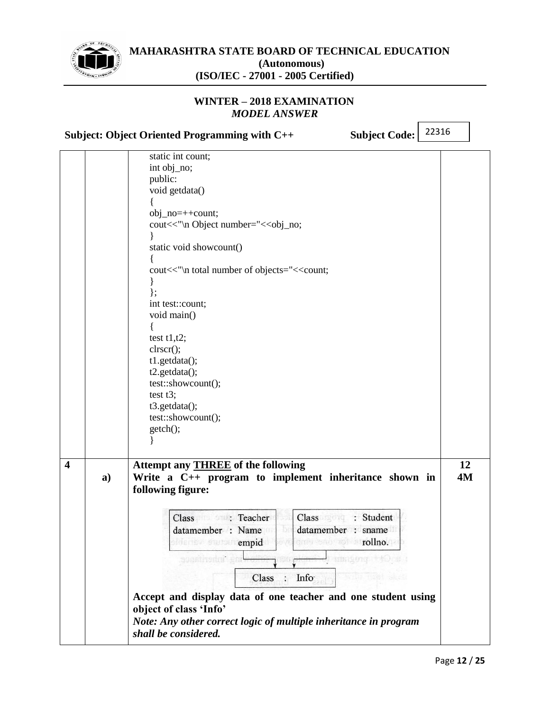

# **WINTER – 2018 EXAMINATION** *MODEL ANSWER*

**Subject: Object Oriented Programming with C++ Subject Code:**

|                         |    | static int count;                                                       |           |
|-------------------------|----|-------------------------------------------------------------------------|-----------|
|                         |    | int obj_no;                                                             |           |
|                         |    | public:                                                                 |           |
|                         |    | void getdata()                                                          |           |
|                         |    |                                                                         |           |
|                         |    |                                                                         |           |
|                         |    | $obj\_no=++count;$                                                      |           |
|                         |    | cout<<"\n Object number="< <obj_no;< th=""><th></th></obj_no;<>         |           |
|                         |    |                                                                         |           |
|                         |    | static void showcount()                                                 |           |
|                         |    |                                                                         |           |
|                         |    | cout<<"\n total number of objects="< <count;< th=""><th></th></count;<> |           |
|                         |    |                                                                         |           |
|                         |    | };                                                                      |           |
|                         |    | int test::count;                                                        |           |
|                         |    | void main()                                                             |           |
|                         |    |                                                                         |           |
|                         |    | test $t1,t2$ ;                                                          |           |
|                         |    | clrscr();                                                               |           |
|                         |    | t1.getdata();                                                           |           |
|                         |    | t2.getdata();                                                           |           |
|                         |    | test::showcount();                                                      |           |
|                         |    | test $t3$ ;                                                             |           |
|                         |    | t3.getdata();                                                           |           |
|                         |    | test::showcount();                                                      |           |
|                         |    | getch();                                                                |           |
|                         |    |                                                                         |           |
|                         |    |                                                                         |           |
| $\overline{\mathbf{4}}$ |    | Attempt any <b>THREE</b> of the following                               | 12        |
|                         |    | Write a C++ program to implement inheritance shown in                   | <b>4M</b> |
|                         | a) |                                                                         |           |
|                         |    | following figure:                                                       |           |
|                         |    |                                                                         |           |
|                         |    | Class : Student<br>Class : Teacher                                      |           |
|                         |    | Бì<br>datamember : sname<br>datamember : Name                           |           |
|                         |    | ovel and sab as to rollno.gai<br>olderne stutten empid                  |           |
|                         |    |                                                                         |           |
|                         |    | 组织复印度<br><b>BULBATTGELIK</b>                                            |           |
|                         |    | Class<br>Info<br>$\bullet$                                              |           |
|                         |    |                                                                         |           |
|                         |    | Accept and display data of one teacher and one student using            |           |
|                         |    | object of class 'Info'                                                  |           |
|                         |    | Note: Any other correct logic of multiple inheritance in program        |           |
|                         |    | shall be considered.                                                    |           |
|                         |    |                                                                         |           |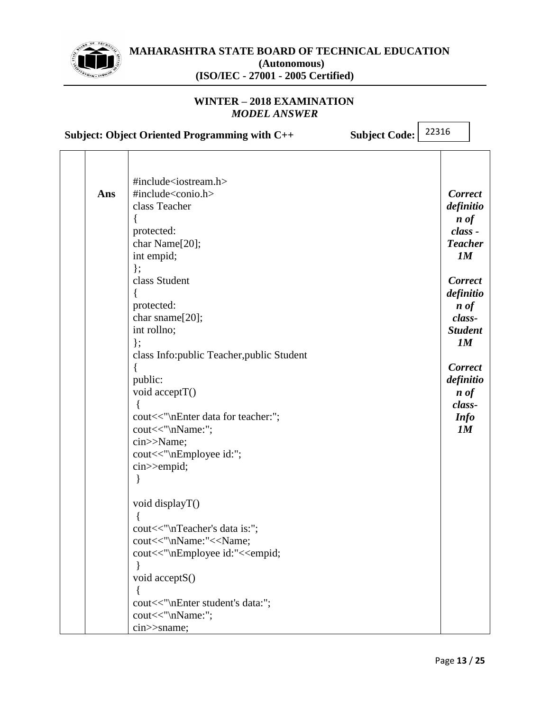

# **WINTER – 2018 EXAMINATION** *MODEL ANSWER*

**Subject: Object Oriented Programming with C++ Subject Code:**

|     | #include <iostream.h></iostream.h>                                                                                                                                                                                                                                                                            |                     |
|-----|---------------------------------------------------------------------------------------------------------------------------------------------------------------------------------------------------------------------------------------------------------------------------------------------------------------|---------------------|
| Ans | #include <conio.h></conio.h>                                                                                                                                                                                                                                                                                  | <b>Correct</b>      |
|     | class Teacher                                                                                                                                                                                                                                                                                                 | definitio           |
|     | ł                                                                                                                                                                                                                                                                                                             | $\boldsymbol{n}$ of |
|     | protected:                                                                                                                                                                                                                                                                                                    | class -             |
|     | char Name[20];                                                                                                                                                                                                                                                                                                | <b>Teacher</b>      |
|     | int empid;                                                                                                                                                                                                                                                                                                    | 1M                  |
|     | $\}$ ;                                                                                                                                                                                                                                                                                                        |                     |
|     | class Student                                                                                                                                                                                                                                                                                                 | <b>Correct</b>      |
|     |                                                                                                                                                                                                                                                                                                               | definitio           |
|     | protected:                                                                                                                                                                                                                                                                                                    | $\boldsymbol{n}$ of |
|     | char sname[20];                                                                                                                                                                                                                                                                                               | class-              |
|     | int rollno;                                                                                                                                                                                                                                                                                                   | <b>Student</b>      |
|     | $\}$ ;                                                                                                                                                                                                                                                                                                        | 1M                  |
|     | class Info: public Teacher, public Student                                                                                                                                                                                                                                                                    |                     |
|     |                                                                                                                                                                                                                                                                                                               | <b>Correct</b>      |
|     | public:                                                                                                                                                                                                                                                                                                       | definitio           |
|     | void acceptT()                                                                                                                                                                                                                                                                                                | $\boldsymbol{n}$ of |
|     |                                                                                                                                                                                                                                                                                                               | class-              |
|     | cout<<"\nEnter data for teacher:";                                                                                                                                                                                                                                                                            | <b>Info</b>         |
|     | cout<<"\nName:";                                                                                                                                                                                                                                                                                              | 1M                  |
|     | cin>>Name;                                                                                                                                                                                                                                                                                                    |                     |
|     |                                                                                                                                                                                                                                                                                                               |                     |
|     |                                                                                                                                                                                                                                                                                                               |                     |
|     |                                                                                                                                                                                                                                                                                                               |                     |
|     |                                                                                                                                                                                                                                                                                                               |                     |
|     |                                                                                                                                                                                                                                                                                                               |                     |
|     |                                                                                                                                                                                                                                                                                                               |                     |
|     |                                                                                                                                                                                                                                                                                                               |                     |
|     |                                                                                                                                                                                                                                                                                                               |                     |
|     |                                                                                                                                                                                                                                                                                                               |                     |
|     |                                                                                                                                                                                                                                                                                                               |                     |
|     |                                                                                                                                                                                                                                                                                                               |                     |
|     |                                                                                                                                                                                                                                                                                                               |                     |
|     |                                                                                                                                                                                                                                                                                                               |                     |
|     |                                                                                                                                                                                                                                                                                                               |                     |
|     |                                                                                                                                                                                                                                                                                                               |                     |
|     | cout<<"\nEmployee id:";<br>cin>>empid;<br>void displayT()<br>$\{$<br>cout<<"\nTeacher's data is:";<br>cout<<"\nName:"< <name;<br>cout&lt;&lt;"\nEmployee id:"&lt;<empid;<br>void acceptS()<br/>cout&lt;&lt;"\nEnter student's data:";<br/>cout&lt;&lt;"\nName:";<br/>cin&gt;&gt;sname;</empid;<br></name;<br> |                     |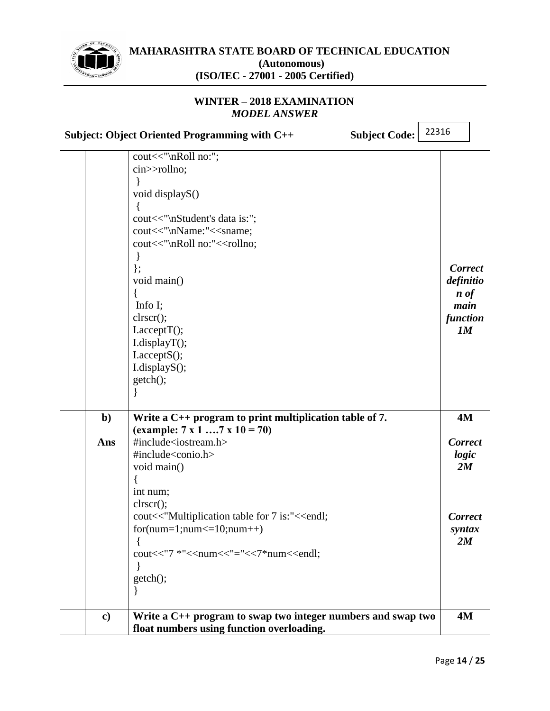

### **WINTER – 2018 EXAMINATION** *MODEL ANSWER*

**Subject: Object Oriented Programming with C++ Subject Code:**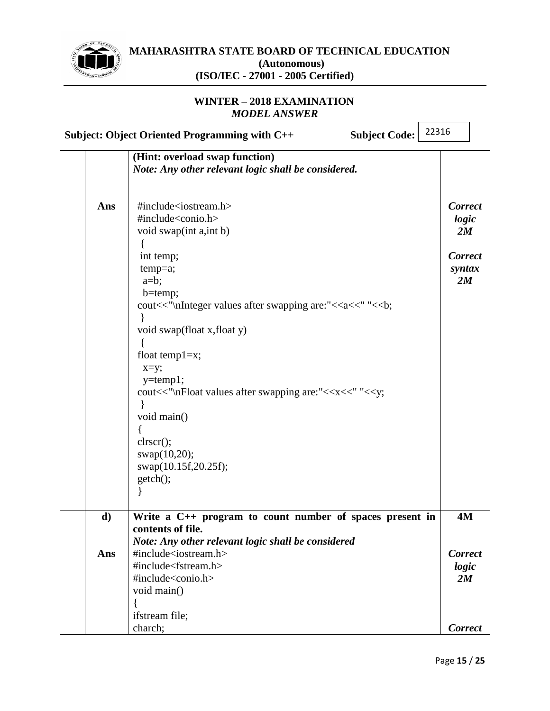

# **WINTER – 2018 EXAMINATION** *MODEL ANSWER*

|     | 22316<br><b>Subject Code:</b><br>Subject: Object Oriented Programming with C++     |                |
|-----|------------------------------------------------------------------------------------|----------------|
|     | (Hint: overload swap function)                                                     |                |
|     | Note: Any other relevant logic shall be considered.                                |                |
|     |                                                                                    |                |
| Ans | #include <iostream.h></iostream.h>                                                 | <b>Correct</b> |
|     | #include <conio.h></conio.h>                                                       | logic          |
|     | void swap(int a, int b)                                                            | 2M             |
|     |                                                                                    |                |
|     | int temp;                                                                          | <b>Correct</b> |
|     | $temp=a;$                                                                          | syntax         |
|     | $a=b;$                                                                             | 2M             |
|     | $b = temp;$                                                                        |                |
|     | cout<<"\nInteger values after swapping are:"< <a<<" "<<br=""></a<<"> sb;           |                |
|     |                                                                                    |                |
|     | void swap(float x, float y)                                                        |                |
|     |                                                                                    |                |
|     | float temp $1=x$ ;                                                                 |                |
|     | $x=y;$                                                                             |                |
|     | $y = temp1;$                                                                       |                |
|     | cout<<"\nFloat values after swapping are:"< <x<<" "<<y;<="" th=""><th></th></x<<"> |                |
|     | void main()                                                                        |                |
|     |                                                                                    |                |
|     | clrscr();                                                                          |                |
|     | swap(10,20);                                                                       |                |
|     | swap(10.15f,20.25f);                                                               |                |
|     | getch();                                                                           |                |
|     |                                                                                    |                |
|     |                                                                                    |                |
| d)  | Write a $C_{++}$ program to count number of spaces present in                      | <b>4M</b>      |
|     | contents of file.                                                                  |                |
|     | Note: Any other relevant logic shall be considered                                 |                |
| Ans | #include <iostream.h></iostream.h>                                                 | <b>Correct</b> |
|     | #include <fstream.h></fstream.h>                                                   | logic          |
|     | #include <conio.h></conio.h>                                                       | 2M             |
|     | void main()                                                                        |                |
|     |                                                                                    |                |
|     | ifstream file;                                                                     |                |
|     | charch;                                                                            | <b>Correct</b> |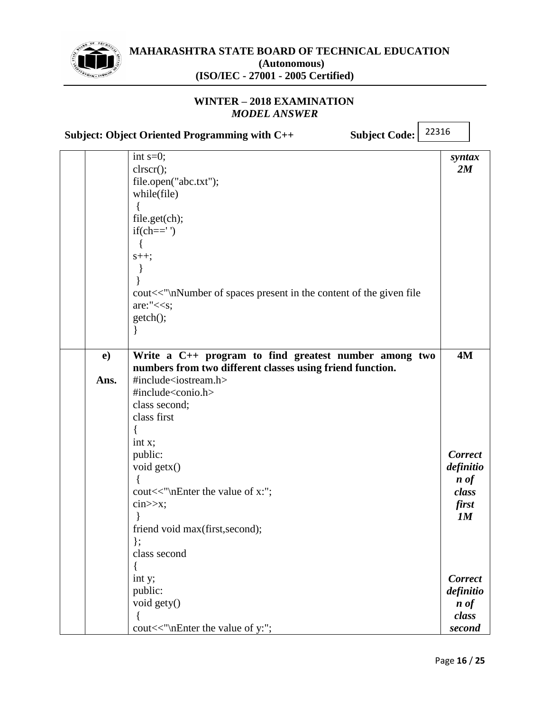

### **WINTER – 2018 EXAMINATION** *MODEL ANSWER*

**Subject: Object Oriented Programming with C++ Subject Code:**

|                      | int $s=0$ ;<br>clrscr();<br>file.open("abc.txt");<br>while(file)<br>file.get(ch);<br>$if(ch==')$<br>$s++;$<br>cout<<"\nNumber of spaces present in the content of the given file<br>are:" $<;getch();∤$                                                                                                                                                                                                                      | syntax<br>2M                                                                     |
|----------------------|------------------------------------------------------------------------------------------------------------------------------------------------------------------------------------------------------------------------------------------------------------------------------------------------------------------------------------------------------------------------------------------------------------------------------|----------------------------------------------------------------------------------|
| $\mathbf{e}$<br>Ans. | Write a C++ program to find greatest number among two<br>numbers from two different classes using friend function.<br>#include <iostream.h><br/>#include<conio.h><br/>class second;<br/>class first<br/>int x;<br/>public:<br/>void getx()<br/>cout&lt;&lt;"\nEnter the value of x:";<br/><math>\text{cin}&gt;&gt;x;</math><br/>friend void max(first, second);<br/><math>\}</math>;<br/>class second</conio.h></iostream.h> | 4M<br><b>Correct</b><br>definitio<br>$\boldsymbol{n}$ of<br>class<br>first<br>1M |
|                      | {<br>int y;<br>public:<br>void gety()<br>cout<<"\nEnter the value of y:";                                                                                                                                                                                                                                                                                                                                                    | <b>Correct</b><br>definitio<br>$\boldsymbol{n}$ of<br>class<br>second            |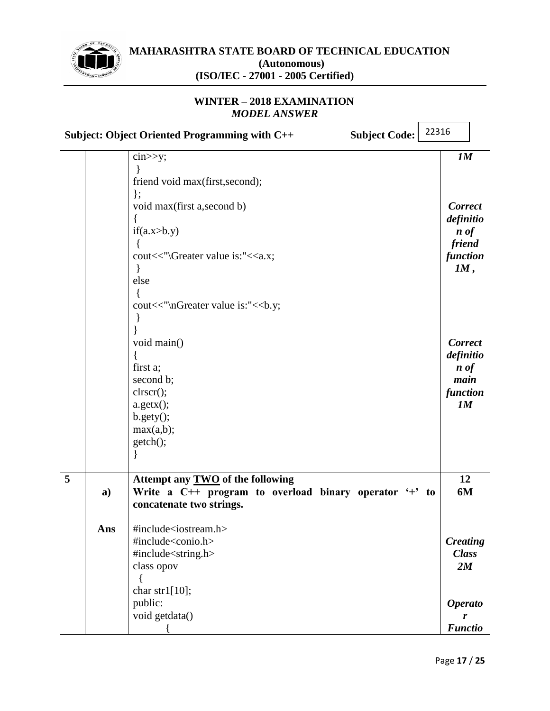

# **WINTER – 2018 EXAMINATION** *MODEL ANSWER*

|   |     | Subject: Object Oriented Programming with C++<br><b>Subject Code:</b>                                                  | 22316 |                                  |
|---|-----|------------------------------------------------------------------------------------------------------------------------|-------|----------------------------------|
|   |     | $\text{cin} \gg y;$                                                                                                    |       | 1M                               |
|   |     | friend void max(first, second);                                                                                        |       |                                  |
|   |     | $\}$ ;<br>void max(first a, second b)                                                                                  |       | <b>Correct</b>                   |
|   |     | if(a.x>b.y)                                                                                                            |       | definitio<br>$\boldsymbol{n}$ of |
|   |     | ł<br>cout<<"\\Greater value is:"< <a.x;< td=""><td></td><td>friend<br/>function<br/>IM,</td></a.x;<>                   |       | friend<br>function<br>IM,        |
|   |     | else                                                                                                                   |       |                                  |
|   |     | cout<<"\nGreater value is:"<<br>b.y;                                                                                   |       |                                  |
|   |     | void main()                                                                                                            |       | <b>Correct</b><br>definitio      |
|   |     | first a;<br>second b;                                                                                                  |       | $\boldsymbol{n}$ of<br>main      |
|   |     | clrscr();<br>$a.getx()$ ;                                                                                              |       | function<br>1M                   |
|   |     | $b.gety()$ ;<br>max(a,b);                                                                                              |       |                                  |
|   |     | getch();                                                                                                               |       |                                  |
| 5 | a)  | Attempt any TWO of the following<br>Write a C++ program to overload binary operator '+' to<br>concatenate two strings. |       | 12<br>6M                         |
|   | Ans | #include <iostream.h></iostream.h>                                                                                     |       |                                  |
|   |     | #include <conio.h></conio.h>                                                                                           |       | <b>Creating</b>                  |
|   |     | #include <string.h></string.h>                                                                                         |       | <b>Class</b>                     |
|   |     | class opov                                                                                                             |       | 2M                               |
|   |     | char str1 $[10]$ ;                                                                                                     |       |                                  |
|   |     | public:                                                                                                                |       | <b>Operato</b>                   |
|   |     | void getdata()                                                                                                         |       | r                                |
|   |     |                                                                                                                        |       | <b>Functio</b>                   |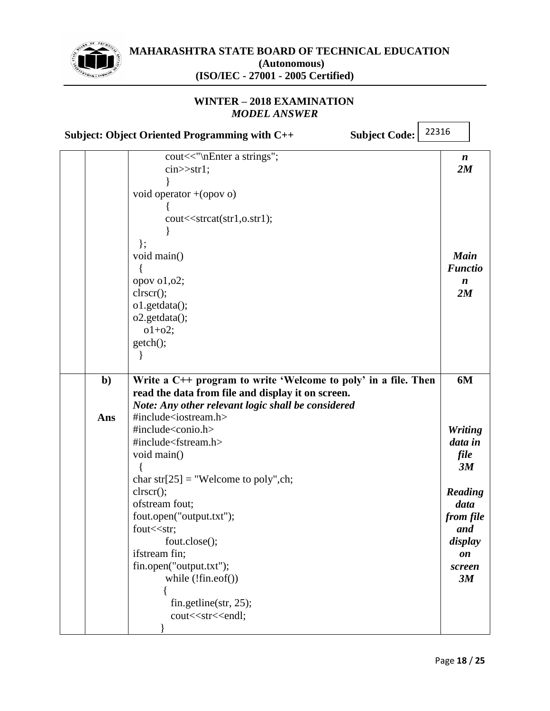

#### **WINTER – 2018 EXAMINATION** *MODEL ANSWER*

**Subject: Object Oriented Programming with C++ Subject Code:** 22316

|     | cout<<"\nEnter a strings";<br>$cin$ $>$ str1;                        | $\boldsymbol{n}$<br>2M |
|-----|----------------------------------------------------------------------|------------------------|
|     |                                                                      |                        |
|     | void operator + (opov o)                                             |                        |
|     |                                                                      |                        |
|     | cout< <strcat(str1,o.str1);< td=""><td></td></strcat(str1,o.str1);<> |                        |
|     |                                                                      |                        |
|     | $\}$ ;                                                               |                        |
|     | void main()                                                          | <b>Main</b>            |
|     |                                                                      | <b>Functio</b>         |
|     | opov o1,02;                                                          | $\boldsymbol{n}$       |
|     | clrscr();                                                            | 2M                     |
|     | o1.getdata();                                                        |                        |
|     | $o2.getdata()$ ;                                                     |                        |
|     | $o1+o2$ ;                                                            |                        |
|     | getch();                                                             |                        |
|     |                                                                      |                        |
|     |                                                                      |                        |
| $b$ | Write a C++ program to write 'Welcome to poly' in a file. Then       | 6M                     |
|     | read the data from file and display it on screen.                    |                        |
|     | Note: Any other relevant logic shall be considered                   |                        |
| Ans | #include <iostream.h></iostream.h>                                   |                        |
|     | #include <conio.h></conio.h>                                         | <b>Writing</b>         |
|     | #include <fstream.h></fstream.h>                                     | data in                |
|     | void main()                                                          | file                   |
|     |                                                                      | 3M                     |
|     | char str[25] = "Welcome to poly", ch;                                |                        |
|     | clrscr();<br>ofstream fout;                                          | Reading<br>data        |
|     | fout.open("output.txt");                                             | from file              |
|     | fout << str;                                                         | and                    |
|     | fout.close();                                                        | display                |
|     | ifstream fin;                                                        | on                     |
|     | fin.open("output.txt");                                              | screen                 |
|     | while $(!fin.eof())$                                                 | 3M                     |
|     |                                                                      |                        |
|     | fin.getline(str, 25);                                                |                        |
|     | cout< <str<<endl;< td=""><td></td></str<<endl;<>                     |                        |
|     |                                                                      |                        |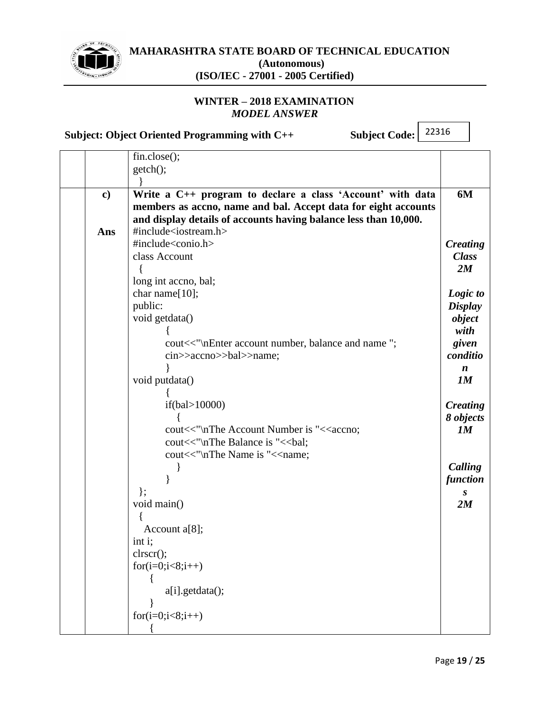

**MAHARASHTRA STATE BOARD OF TECHNICAL EDUCATION (Autonomous)**

**(ISO/IEC - 27001 - 2005 Certified)**

# **WINTER – 2018 EXAMINATION** *MODEL ANSWER*

**Subject: Object Oriented Programming with C++ Subject Code:**

|          | $fin.close()$ ;                                                                                                                                                                                  |                    |
|----------|--------------------------------------------------------------------------------------------------------------------------------------------------------------------------------------------------|--------------------|
|          | getch();                                                                                                                                                                                         |                    |
|          |                                                                                                                                                                                                  |                    |
| $\bf c)$ | Write a C++ program to declare a class 'Account' with data<br>members as accno, name and bal. Accept data for eight accounts<br>and display details of accounts having balance less than 10,000. | 6M                 |
| Ans      | #include <iostream.h></iostream.h>                                                                                                                                                               |                    |
|          | #include <conio.h></conio.h>                                                                                                                                                                     | <b>Creating</b>    |
|          | class Account                                                                                                                                                                                    | <b>Class</b><br>2M |
|          | long int accno, bal;                                                                                                                                                                             |                    |
|          | char name[10];                                                                                                                                                                                   | Logic to           |
|          | public:                                                                                                                                                                                          | <b>Display</b>     |
|          | void getdata()                                                                                                                                                                                   | object             |
|          |                                                                                                                                                                                                  | with               |
|          | cout<<"\nEnter account number, balance and name";                                                                                                                                                | given              |
|          | cin>>accno>>bal>>name;                                                                                                                                                                           | conditio           |
|          |                                                                                                                                                                                                  | $\boldsymbol{n}$   |
|          | void putdata()                                                                                                                                                                                   | 1M                 |
|          | if(bal> $10000$ )                                                                                                                                                                                | <b>Creating</b>    |
|          |                                                                                                                                                                                                  | 8 objects          |
|          | cout<<"\nThe Account Number is "< <accno;< th=""><th>1M</th></accno;<>                                                                                                                           | 1M                 |
|          | cout<<"\nThe Balance is "<<br>bal;                                                                                                                                                               |                    |
|          | cout<<"\nThe Name is "< <name;< th=""><th></th></name;<>                                                                                                                                         |                    |
|          |                                                                                                                                                                                                  | Calling            |
|          |                                                                                                                                                                                                  | <b>function</b>    |
|          | $\}$ ;                                                                                                                                                                                           | S                  |
|          | void main()                                                                                                                                                                                      | 2M                 |
|          |                                                                                                                                                                                                  |                    |
|          | Account $a[8]$ ;<br>int i;                                                                                                                                                                       |                    |
|          | $\text{clrscr}$ $\text{c}}$                                                                                                                                                                      |                    |
|          | $for(i=0;i<8;i++)$                                                                                                                                                                               |                    |
|          |                                                                                                                                                                                                  |                    |
|          | a[i].getdata();                                                                                                                                                                                  |                    |
|          |                                                                                                                                                                                                  |                    |
|          | $for(i=0;i<8;i++)$                                                                                                                                                                               |                    |
|          |                                                                                                                                                                                                  |                    |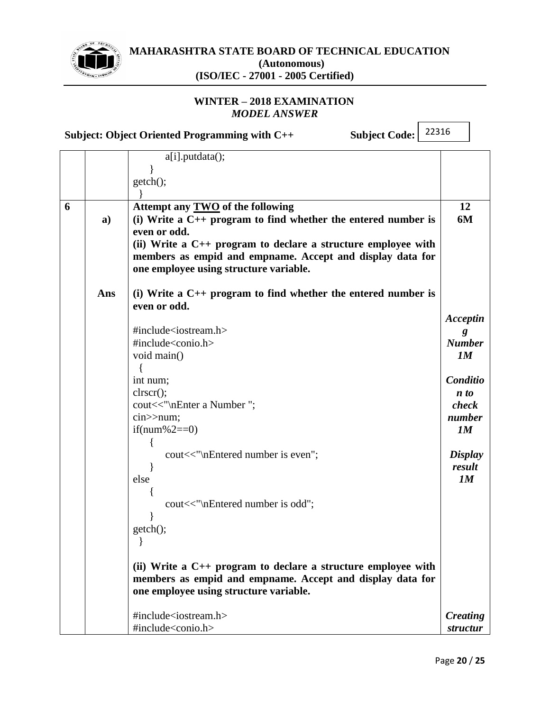

**MAHARASHTRA STATE BOARD OF TECHNICAL EDUCATION (Autonomous)**

**(ISO/IEC - 27001 - 2005 Certified)**

# **WINTER – 2018 EXAMINATION** *MODEL ANSWER*

**Subject: Object Oriented Programming with C++ Subject Code:**

|   |              | $a[i]$ . putdata $(i)$ ;                                                                               |                     |
|---|--------------|--------------------------------------------------------------------------------------------------------|---------------------|
|   |              |                                                                                                        |                     |
|   |              | getch();                                                                                               |                     |
|   |              |                                                                                                        |                     |
| 6 | $\mathbf{a}$ | Attempt any TWO of the following<br>(i) Write a $C_{++}$ program to find whether the entered number is | 12<br>6M            |
|   |              | even or odd.                                                                                           |                     |
|   |              | (ii) Write a $C_{++}$ program to declare a structure employee with                                     |                     |
|   |              | members as empid and empname. Accept and display data for                                              |                     |
|   |              | one employee using structure variable.                                                                 |                     |
|   |              |                                                                                                        |                     |
|   | Ans          | (i) Write a $C_{++}$ program to find whether the entered number is                                     |                     |
|   |              | even or odd.                                                                                           |                     |
|   |              |                                                                                                        | Acceptin            |
|   |              | #include <iostream.h></iostream.h>                                                                     |                     |
|   |              | $\#include <$ conio.h>                                                                                 | <b>Number</b>       |
|   |              | void main()                                                                                            | 1M                  |
|   |              | int num;                                                                                               | Conditio            |
|   |              | clrscr();                                                                                              | $\boldsymbol{n}$ to |
|   |              | cout<<"\nEnter a Number";                                                                              | check               |
|   |              | $cin>$ num;                                                                                            | number              |
|   |              | if(num%2==0)                                                                                           | 1M                  |
|   |              |                                                                                                        |                     |
|   |              | cout<<"\nEntered number is even";                                                                      | <b>Display</b>      |
|   |              |                                                                                                        | result              |
|   |              | else                                                                                                   | 1M                  |
|   |              |                                                                                                        |                     |
|   |              | cout<<"\nEntered number is odd";                                                                       |                     |
|   |              | getch();                                                                                               |                     |
|   |              |                                                                                                        |                     |
|   |              |                                                                                                        |                     |
|   |              | (ii) Write a $C_{++}$ program to declare a structure employee with                                     |                     |
|   |              | members as empid and empname. Accept and display data for                                              |                     |
|   |              | one employee using structure variable.                                                                 |                     |
|   |              |                                                                                                        |                     |
|   |              | #include <iostream.h></iostream.h>                                                                     | Creating            |
|   |              | #include <conio.h></conio.h>                                                                           | structur            |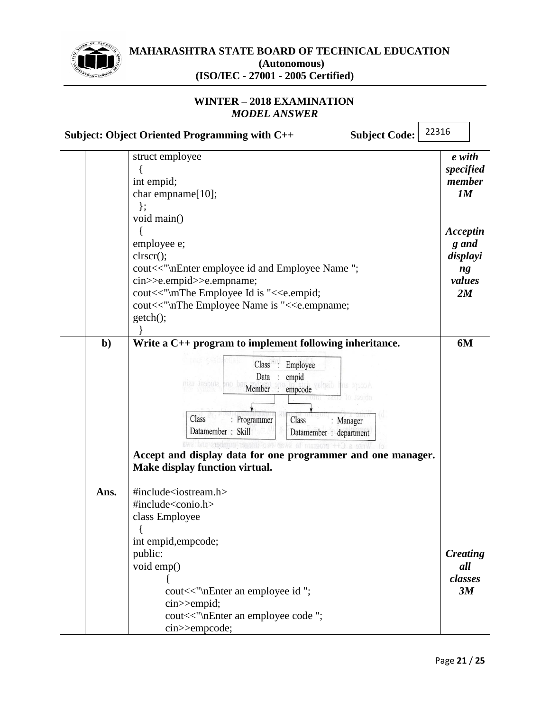

### **WINTER – 2018 EXAMINATION** *MODEL ANSWER*

**Subject: Object Oriented Programming with C++ Subject Code:**

|             | struct employee<br>int empid;<br>char empname[10];<br>$\}$ ;<br>void main()<br>employee e;<br>clrscr();<br>cout<<"\nEnter employee id and Employee Name";<br>cin>>e.empid>>e.empname;<br>cout<<"\mThe Employee Id is "< <e.empid;<br>cout&lt;&lt;"\nThe Employee Name is "&lt;<e.empname;<br>getch();</e.empname;<br></e.empid;<br>                                                                      | e with<br>specified<br>member<br>1M<br>Acceptin<br>g and<br>displayi<br>ng<br>values<br>2M |
|-------------|----------------------------------------------------------------------------------------------------------------------------------------------------------------------------------------------------------------------------------------------------------------------------------------------------------------------------------------------------------------------------------------------------------|--------------------------------------------------------------------------------------------|
| $b$<br>Ans. | Write a C++ program to implement following inheritance.<br>Class : Employee<br>Data<br>empid<br>SUGGET L<br>: empcode<br>Member<br>Class<br>: Programmer<br>Class<br>: Manager<br>Datamember: Skill<br>Datamember : department<br>When program to skab the<br>Accept and display data for one programmer and one manager.<br><b>Make display function virtual.</b><br>#include <iostream.h></iostream.h> | 6M                                                                                         |
|             | #include <conio.h><br/>class Employee<br/>int empid, empcode;<br/>public:<br/>void emp()<br/>cout&lt;&lt;"\nEnter an employee id ";<br/>cin&gt;&gt;empid;<br/>cout&lt;&lt;"\nEnter an employee code ";<br/>cin&gt;&gt;empcode;</conio.h>                                                                                                                                                                 | <b>Creating</b><br>all<br>classes<br>3M                                                    |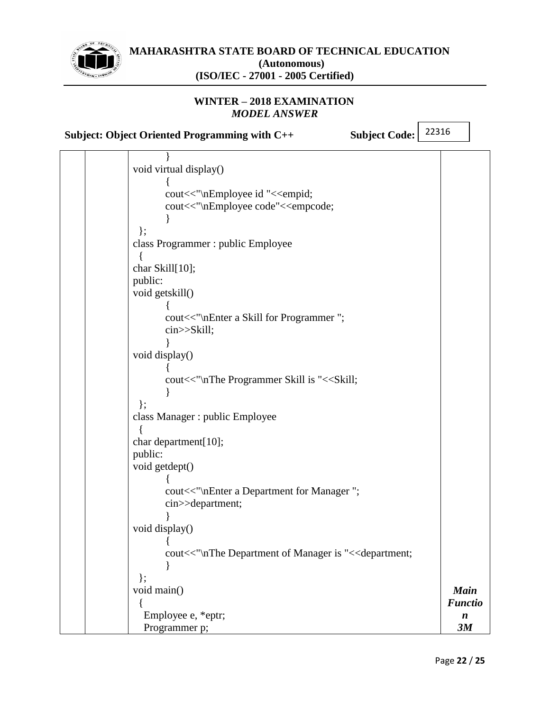

# **WINTER – 2018 EXAMINATION** *MODEL ANSWER*

**Subject: Object Oriented Programming with C++ Subject Code:**

| void virtual display()                                                                |                  |
|---------------------------------------------------------------------------------------|------------------|
|                                                                                       |                  |
| cout<<"\nEmployee id "< <empid;< td=""><td></td></empid;<>                            |                  |
| cout<<"\nEmployee code"< <empcode;< td=""><td></td></empcode;<>                       |                  |
|                                                                                       |                  |
| $\}$ ;                                                                                |                  |
| class Programmer : public Employee                                                    |                  |
|                                                                                       |                  |
| char Skill[10];                                                                       |                  |
| public:                                                                               |                  |
|                                                                                       |                  |
| void getskill()                                                                       |                  |
|                                                                                       |                  |
| cout<<"\nEnter a Skill for Programmer";                                               |                  |
| cin>>Skill;                                                                           |                  |
|                                                                                       |                  |
| void display()                                                                        |                  |
|                                                                                       |                  |
| cout<<"\nThe Programmer Skill is "< <skill;< td=""><td></td></skill;<>                |                  |
|                                                                                       |                  |
| $\}$                                                                                  |                  |
| class Manager : public Employee                                                       |                  |
|                                                                                       |                  |
| char department[10];                                                                  |                  |
| public:                                                                               |                  |
| void getdept()                                                                        |                  |
|                                                                                       |                  |
| cout<<"\nEnter a Department for Manager";                                             |                  |
| cin>>department;                                                                      |                  |
|                                                                                       |                  |
| void display()                                                                        |                  |
|                                                                                       |                  |
| cout<<"\nThe Department of Manager is "< <department;< td=""><td></td></department;<> |                  |
|                                                                                       |                  |
| $\}$ ;                                                                                |                  |
| void main()                                                                           | <b>Main</b>      |
|                                                                                       | <b>Functio</b>   |
| Employee e, *eptr;                                                                    | $\boldsymbol{n}$ |
| Programmer p;                                                                         | 3M               |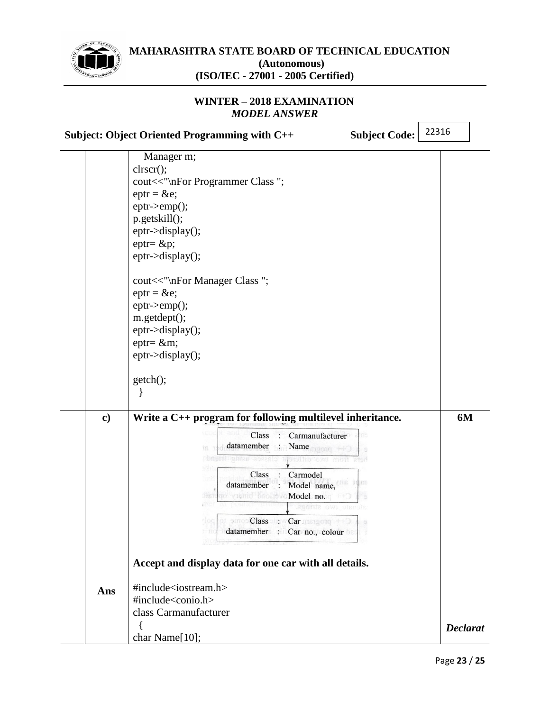

# **WINTER – 2018 EXAMINATION** *MODEL ANSWER*

**Subject: Object Oriented Programming with C++ Subject Code:**

|          | Manager m;                                                |                 |
|----------|-----------------------------------------------------------|-----------------|
|          | clrscr();                                                 |                 |
|          | cout<<"\nFor Programmer Class";                           |                 |
|          | $eptr = \&e$                                              |                 |
|          | $eptr$ ->emp();                                           |                 |
|          | p.getskill();                                             |                 |
|          | $eptr$ ->display();                                       |                 |
|          | $eptr = \&p$                                              |                 |
|          | eptr->display();                                          |                 |
|          | cout<<"\nFor Manager Class";                              |                 |
|          | $eptr = \&e$                                              |                 |
|          | $eptr$ ->emp();                                           |                 |
|          | m.getdept();                                              |                 |
|          | $eptr$ ->display();                                       |                 |
|          | $eptr = \&m$                                              |                 |
|          | $eptr$ ->display();                                       |                 |
|          |                                                           |                 |
|          | getch();                                                  |                 |
|          |                                                           |                 |
| $\bf c)$ | Write a C++ program for following multilevel inheritance. | 6M              |
|          | Class<br>Carmanufacturer                                  |                 |
|          | datamember<br>Name<br>Is.<br>C++ progr                    |                 |
|          | <b>Monray 8982610</b><br>rsithb ove mon are               |                 |
|          | Class<br>Carmodel                                         |                 |
|          | (KFT)<br>datamember<br>Model name,                        |                 |
|          | po vuento bachevo Model no.<br>SBT.                       |                 |
|          | are two strings                                           |                 |
|          | smoo Class on: w Car missgorg ++3<br>rlog                 |                 |
|          | datamember : Car no., colour                              |                 |
|          |                                                           |                 |
|          | Accept and display data for one car with all details.     |                 |
| Ans      | #include <iostream.h></iostream.h>                        |                 |
|          | #include <conio.h></conio.h>                              |                 |
|          | class Carmanufacturer                                     |                 |
|          |                                                           |                 |
|          | ∤<br>char Name[10];                                       | <b>Declarat</b> |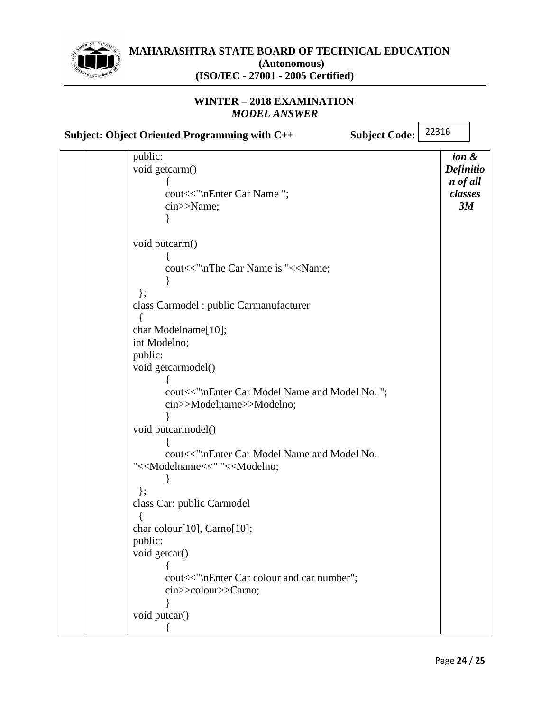

# **WINTER – 2018 EXAMINATION** *MODEL ANSWER*

**Subject: Object Oriented Programming with C++ Subject Code:**

|  | public:                                                         | ion &     |
|--|-----------------------------------------------------------------|-----------|
|  | void getcarm()                                                  | Definitio |
|  |                                                                 | n of all  |
|  | cout<<"\nEnter Car Name";                                       | classes   |
|  | cin>>Name;                                                      | 3M        |
|  |                                                                 |           |
|  |                                                                 |           |
|  | void putcarm()                                                  |           |
|  |                                                                 |           |
|  | cout<<"\nThe Car Name is "< <name;< td=""><td></td></name;<>    |           |
|  |                                                                 |           |
|  | $\}$                                                            |           |
|  | class Carmodel : public Carmanufacturer                         |           |
|  |                                                                 |           |
|  | char Modelname[10];                                             |           |
|  | int Modelno;                                                    |           |
|  | public:                                                         |           |
|  | void getcarmodel()                                              |           |
|  |                                                                 |           |
|  | cout<<"\nEnter Car Model Name and Model No.";                   |           |
|  | cin>>Modelname>>Modelno;                                        |           |
|  |                                                                 |           |
|  | void putcarmodel()                                              |           |
|  |                                                                 |           |
|  | cout<<"\nEnter Car Model Name and Model No.                     |           |
|  | "< <modelname<<" "<<modelno;<="" td=""><td></td></modelname<<"> |           |
|  |                                                                 |           |
|  | $\}$ ;                                                          |           |
|  | class Car: public Carmodel                                      |           |
|  |                                                                 |           |
|  | char colour[10], Carno[10];                                     |           |
|  | public:                                                         |           |
|  | void getcar()                                                   |           |
|  |                                                                 |           |
|  | cout<<"\nEnter Car colour and car number";                      |           |
|  | cin>>colour>>Carno;                                             |           |
|  |                                                                 |           |
|  | void putcar()                                                   |           |
|  |                                                                 |           |